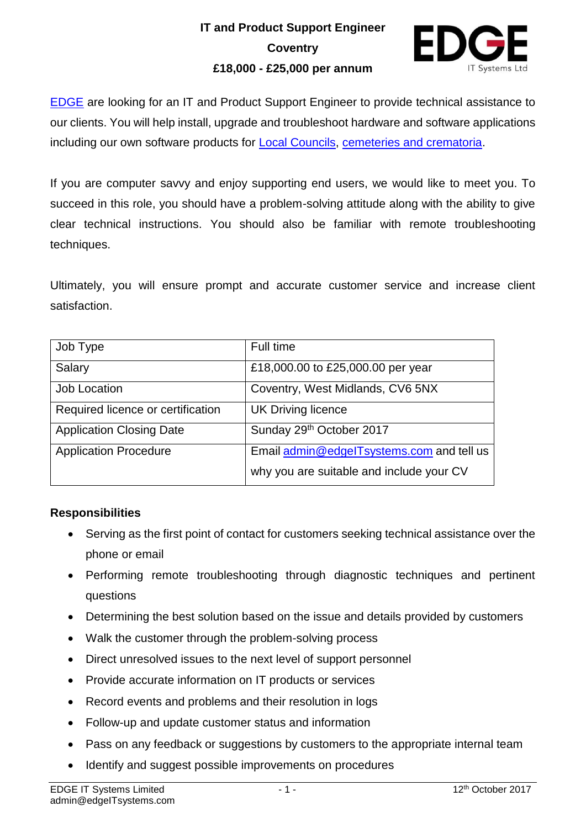## **IT and Product Support Engineer Coventry £18,000 - £25,000 per annum**



[EDGE](http://www.edgeitsystems.com/) are looking for an IT and Product Support Engineer to provide technical assistance to our clients. You will help install, upgrade and troubleshoot hardware and software applications including our own software products for [Local Councils,](http://www.edgeitsystems.com/advantedge) [cemeteries and crematoria.](http://www.edgeitsystems.com/epitaph/)

If you are computer savvy and enjoy supporting end users, we would like to meet you. To succeed in this role, you should have a problem-solving attitude along with the ability to give clear technical instructions. You should also be familiar with remote troubleshooting techniques.

Ultimately, you will ensure prompt and accurate customer service and increase client satisfaction.

| Job Type                          | Full time                                 |
|-----------------------------------|-------------------------------------------|
| Salary                            | £18,000.00 to £25,000.00 per year         |
| Job Location                      | Coventry, West Midlands, CV6 5NX          |
| Required licence or certification | <b>UK Driving licence</b>                 |
| <b>Application Closing Date</b>   | Sunday 29th October 2017                  |
| <b>Application Procedure</b>      | Email admin@edgelTsystems.com and tell us |
|                                   | why you are suitable and include your CV  |

## **Responsibilities**

- Serving as the first point of contact for customers seeking technical assistance over the phone or email
- Performing remote troubleshooting through diagnostic techniques and pertinent questions
- Determining the best solution based on the issue and details provided by customers
- Walk the customer through the problem-solving process
- Direct unresolved issues to the next level of support personnel
- Provide accurate information on IT products or services
- Record events and problems and their resolution in logs
- Follow-up and update customer status and information
- Pass on any feedback or suggestions by customers to the appropriate internal team
- Identify and suggest possible improvements on procedures